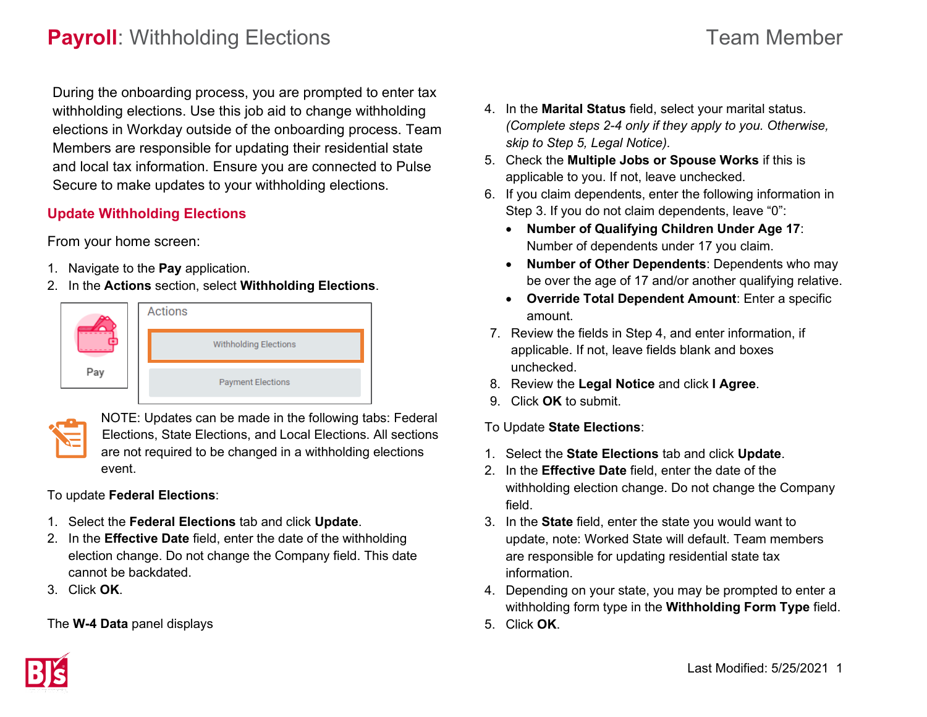# **Payroll**: Withholding Elections **Team Member** Team Member

During the onboarding process, you are prompted to enter tax withholding elections. Use this job aid to change withholding elections in Workday outside of the onboarding process. Team Members are responsible for updating their residential state and local tax information. Ensure you are connected to Pulse Secure to make updates to your withholding elections.

### **Update Withholding Elections**

From your home screen:

- 1. Navigate to the **Pay** application.
- 2. In the **Actions** section, select **Withholding Elections**.





NOTE: Updates can be made in the following tabs: Federal Elections, State Elections, and Local Elections. All sections are not required to be changed in a withholding elections event.

To update **Federal Elections**:

- 1. Select the **Federal Elections** tab and click **Update**.
- 2. In the **Effective Date** field, enter the date of the withholding election change. Do not change the Company field. This date cannot be backdated.
- 3. Click **OK**.

The **W-4 Data** panel displays

- 4. In the **Marital Status** field, select your marital status. *(Complete steps 2-4 only if they apply to you. Otherwise, skip to Step 5, Legal Notice).*
- 5. Check the **Multiple Jobs or Spouse Works** if this is applicable to you. If not, leave unchecked.
- 6. If you claim dependents, enter the following information in Step 3. If you do not claim dependents, leave "0":
	- **Number of Qualifying Children Under Age 17**: Number of dependents under 17 you claim.
	- **Number of Other Dependents**: Dependents who may be over the age of 17 and/or another qualifying relative.
	- **Override Total Dependent Amount**: Enter a specific amount.
- 7. Review the fields in Step 4, and enter information, if applicable. If not, leave fields blank and boxes unchecked.
- 8. Review the **Legal Notice** and click **I Agree**.
- 9. Click **OK** to submit.
- To Update **State Elections**:
- 1. Select the **State Elections** tab and click **Update**.
- 2. In the **Effective Date** field, enter the date of the withholding election change. Do not change the Company field.
- 3. In the **State** field, enter the state you would want to update, note: Worked State will default. Team members are responsible for updating residential state tax information.
- 4. Depending on your state, you may be prompted to enter a withholding form type in the **Withholding Form Type** field.
- 5. Click **OK**.